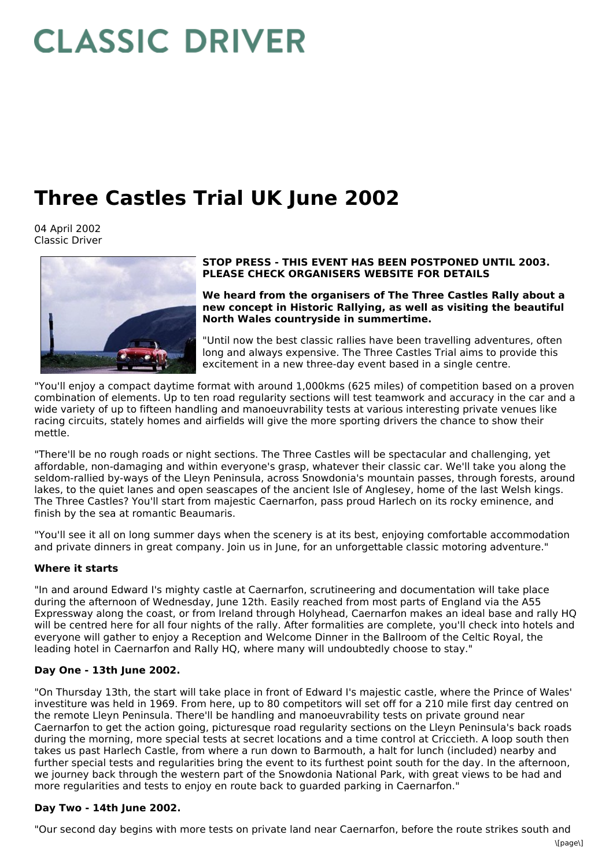# **CLASSIC DRIVER**

# **Three Castles Trial UK June 2002**

04 April 2002 Classic Driver



#### **STOP PRESS - THIS EVENT HAS BEEN POSTPONED UNTIL 2003. PLEASE CHECK ORGANISERS WEBSITE FOR DETAILS**

**We heard from the organisers of The Three Castles Rally about a new concept in Historic Rallying, as well as visiting the beautiful North Wales countryside in summertime.**

"Until now the best classic rallies have been travelling adventures, often long and always expensive. The Three Castles Trial aims to provide this excitement in a new three-day event based in a single centre.

"You'll enjoy a compact daytime format with around 1,000kms (625 miles) of competition based on a proven combination of elements. Up to ten road regularity sections will test teamwork and accuracy in the car and a wide variety of up to fifteen handling and manoeuvrability tests at various interesting private venues like racing circuits, stately homes and airfields will give the more sporting drivers the chance to show their mettle.

"There'll be no rough roads or night sections. The Three Castles will be spectacular and challenging, yet affordable, non-damaging and within everyone's grasp, whatever their classic car. We'll take you along the seldom-rallied by-ways of the Lleyn Peninsula, across Snowdonia's mountain passes, through forests, around lakes, to the quiet lanes and open seascapes of the ancient Isle of Anglesey, home of the last Welsh kings. The Three Castles? You'll start from majestic Caernarfon, pass proud Harlech on its rocky eminence, and finish by the sea at romantic Beaumaris.

"You'll see it all on long summer days when the scenery is at its best, enjoying comfortable accommodation and private dinners in great company. Join us in June, for an unforgettable classic motoring adventure."

## **Where it starts**

"In and around Edward I's mighty castle at Caernarfon, scrutineering and documentation will take place during the afternoon of Wednesday, June 12th. Easily reached from most parts of England via the A55 Expressway along the coast, or from Ireland through Holyhead, Caernarfon makes an ideal base and rally HQ will be centred here for all four nights of the rally. After formalities are complete, you'll check into hotels and everyone will gather to enjoy a Reception and Welcome Dinner in the Ballroom of the Celtic Royal, the leading hotel in Caernarfon and Rally HQ, where many will undoubtedly choose to stay."

## **Day One - 13th June 2002.**

"On Thursday 13th, the start will take place in front of Edward I's majestic castle, where the Prince of Wales' investiture was held in 1969. From here, up to 80 competitors will set off for a 210 mile first day centred on the remote Lleyn Peninsula. There'll be handling and manoeuvrability tests on private ground near Caernarfon to get the action going, picturesque road regularity sections on the Lleyn Peninsula's back roads during the morning, more special tests at secret locations and a time control at Criccieth. A loop south then takes us past Harlech Castle, from where a run down to Barmouth, a halt for lunch (included) nearby and further special tests and regularities bring the event to its furthest point south for the day. In the afternoon, we journey back through the western part of the Snowdonia National Park, with great views to be had and more regularities and tests to enjoy en route back to guarded parking in Caernarfon."

#### **Day Two - 14th June 2002.**

"Our second day begins with more tests on private land near Caernarfon, before the route strikes south and